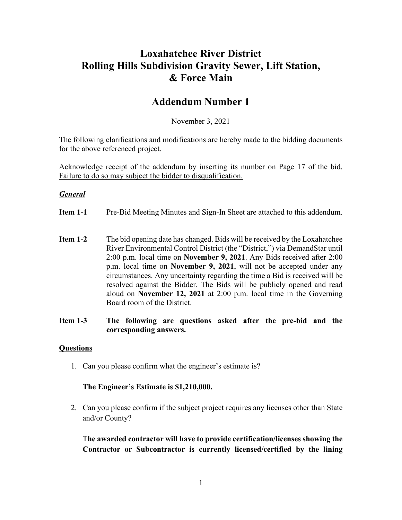## **Loxahatchee River District Rolling Hills Subdivision Gravity Sewer, Lift Station, & Force Main**

## **Addendum Number 1**

November 3, 2021

The following clarifications and modifications are hereby made to the bidding documents for the above referenced project.

Acknowledge receipt of the addendum by inserting its number on Page 17 of the bid. Failure to do so may subject the bidder to disqualification.

### *General*

- **Item 1-1** Pre-Bid Meeting Minutes and Sign-In Sheet are attached to this addendum.
- **Item 1-2** The bid opening date has changed. Bids will be received by the Loxahatchee River Environmental Control District (the "District,") via DemandStar until 2:00 p.m. local time on **November 9, 2021**. Any Bids received after 2:00 p.m. local time on **November 9, 2021**, will not be accepted under any circumstances. Any uncertainty regarding the time a Bid is received will be resolved against the Bidder. The Bids will be publicly opened and read aloud on **November 12, 2021** at 2:00 p.m. local time in the Governing Board room of the District.
- **Item 1-3 The following are questions asked after the pre-bid and the corresponding answers.**

#### **Questions**

1. Can you please confirm what the engineer's estimate is?

#### **The Engineer's Estimate is \$1,210,000.**

2. Can you please confirm if the subject project requires any licenses other than State and/or County?

T**he awarded contractor will have to provide certification/licenses showing the Contractor or Subcontractor is currently licensed/certified by the lining**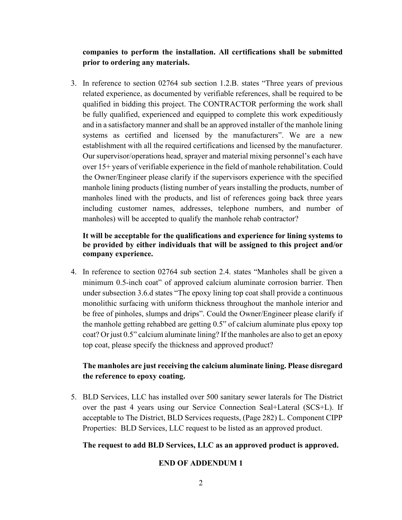## **companies to perform the installation. All certifications shall be submitted prior to ordering any materials.**

3. In reference to section 02764 sub section 1.2.B. states "Three years of previous related experience, as documented by verifiable references, shall be required to be qualified in bidding this project. The CONTRACTOR performing the work shall be fully qualified, experienced and equipped to complete this work expeditiously and in a satisfactory manner and shall be an approved installer of the manhole lining systems as certified and licensed by the manufacturers". We are a new establishment with all the required certifications and licensed by the manufacturer. Our supervisor/operations head, sprayer and material mixing personnel's each have over 15+ years of verifiable experience in the field of manhole rehabilitation. Could the Owner/Engineer please clarify if the supervisors experience with the specified manhole lining products (listing number of years installing the products, number of manholes lined with the products, and list of references going back three years including customer names, addresses, telephone numbers, and number of manholes) will be accepted to qualify the manhole rehab contractor?

### **It will be acceptable for the qualifications and experience for lining systems to be provided by either individuals that will be assigned to this project and/or company experience.**

4. In reference to section 02764 sub section 2.4. states "Manholes shall be given a minimum 0.5-inch coat" of approved calcium aluminate corrosion barrier. Then under subsection 3.6.d states "The epoxy lining top coat shall provide a continuous monolithic surfacing with uniform thickness throughout the manhole interior and be free of pinholes, slumps and drips". Could the Owner/Engineer please clarify if the manhole getting rehabbed are getting 0.5" of calcium aluminate plus epoxy top coat? Or just 0.5" calcium aluminate lining? If the manholes are also to get an epoxy top coat, please specify the thickness and approved product?

## **The manholes are just receiving the calcium aluminate lining. Please disregard the reference to epoxy coating.**

5. BLD Services, LLC has installed over 500 sanitary sewer laterals for The District over the past 4 years using our Service Connection Seal+Lateral (SCS+L). If acceptable to The District, BLD Services requests, (Page 282) L. Component CIPP Properties: BLD Services, LLC request to be listed as an approved product.

### **The request to add BLD Services, LLC as an approved product is approved.**

#### **END OF ADDENDUM 1**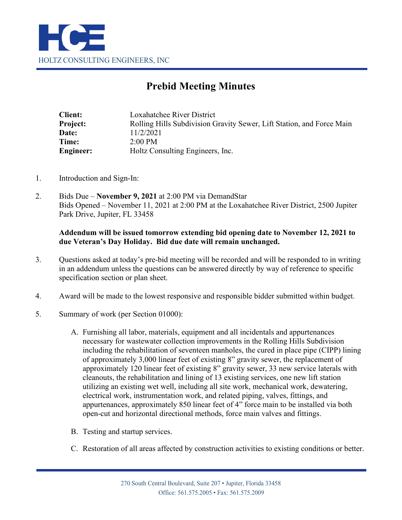

# **Prebid Meeting Minutes**

| <b>Client:</b>  | Loxahatchee River District                                            |
|-----------------|-----------------------------------------------------------------------|
| <b>Project:</b> | Rolling Hills Subdivision Gravity Sewer, Lift Station, and Force Main |
| Date:           | 11/2/2021                                                             |
| Time:           | $2:00 \text{ PM}$                                                     |
| Engineer:       | Holtz Consulting Engineers, Inc.                                      |

- 1. Introduction and Sign-In:
- 2. Bids Due **November 9, 2021** at 2:00 PM via DemandStar Bids Opened – November 11, 2021 at 2:00 PM at the Loxahatchee River District, 2500 Jupiter Park Drive, Jupiter, FL 33458

### **Addendum will be issued tomorrow extending bid opening date to November 12, 2021 to due Veteran's Day Holiday. Bid due date will remain unchanged.**

- 3. Questions asked at today's pre-bid meeting will be recorded and will be responded to in writing in an addendum unless the questions can be answered directly by way of reference to specific specification section or plan sheet.
- 4. Award will be made to the lowest responsive and responsible bidder submitted within budget.
- 5. Summary of work (per Section 01000):
	- A. Furnishing all labor, materials, equipment and all incidentals and appurtenances necessary for wastewater collection improvements in the Rolling Hills Subdivision including the rehabilitation of seventeen manholes, the cured in place pipe (CIPP) lining of approximately 3,000 linear feet of existing 8" gravity sewer, the replacement of approximately 120 linear feet of existing 8" gravity sewer, 33 new service laterals with cleanouts, the rehabilitation and lining of 13 existing services, one new lift station utilizing an existing wet well, including all site work, mechanical work, dewatering, electrical work, instrumentation work, and related piping, valves, fittings, and appurtenances, approximately 850 linear feet of 4" force main to be installed via both open-cut and horizontal directional methods, force main valves and fittings.
	- B. Testing and startup services.
	- C. Restoration of all areas affected by construction activities to existing conditions or better.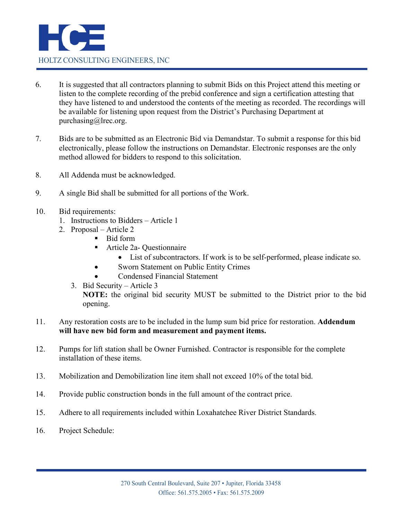

- 6. It is suggested that all contractors planning to submit Bids on this Project attend this meeting or listen to the complete recording of the prebid conference and sign a certification attesting that they have listened to and understood the contents of the meeting as recorded. The recordings will be available for listening upon request from the District's Purchasing Department at purchasing@lrec.org.
- 7. Bids are to be submitted as an Electronic Bid via Demandstar. To submit a response for this bid electronically, please follow the instructions on Demandstar. Electronic responses are the only method allowed for bidders to respond to this solicitation.
- 8. All Addenda must be acknowledged.
- 9. A single Bid shall be submitted for all portions of the Work.
- 10. Bid requirements:
	- 1. Instructions to Bidders Article 1
	- 2. Proposal Article 2
		- Bid form
		- Article 2a- Questionnaire
			- List of subcontractors. If work is to be self-performed, please indicate so.
			- Sworn Statement on Public Entity Crimes
		- Condensed Financial Statement
	- 3. Bid Security Article 3 **NOTE:** the original bid security MUST be submitted to the District prior to the bid opening.
- 11. Any restoration costs are to be included in the lump sum bid price for restoration. **Addendum will have new bid form and measurement and payment items.**
- 12. Pumps for lift station shall be Owner Furnished. Contractor is responsible for the complete installation of these items.
- 13. Mobilization and Demobilization line item shall not exceed 10% of the total bid.
- 14. Provide public construction bonds in the full amount of the contract price.
- 15. Adhere to all requirements included within Loxahatchee River District Standards.
- 16. Project Schedule: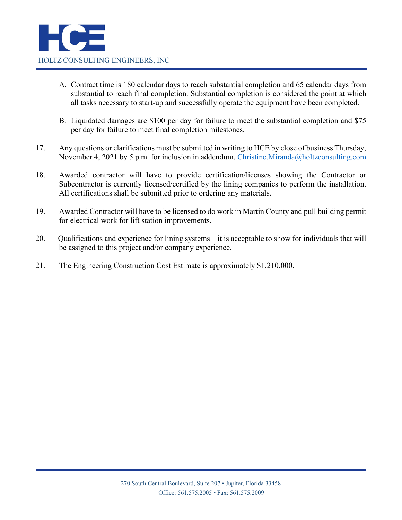- A. Contract time is 180 calendar days to reach substantial completion and 65 calendar days from substantial to reach final completion. Substantial completion is considered the point at which all tasks necessary to start-up and successfully operate the equipment have been completed.
- B. Liquidated damages are \$100 per day for failure to meet the substantial completion and \$75 per day for failure to meet final completion milestones.
- 17. Any questions or clarifications must be submitted in writing to HCE by close of business Thursday, November 4, 2021 by 5 p.m. for inclusion in addendum. [Christine.Miranda@holtzconsulting.com](mailto:Christine.Miranda@holtzconsulting.com)
- 18. Awarded contractor will have to provide certification/licenses showing the Contractor or Subcontractor is currently licensed/certified by the lining companies to perform the installation. All certifications shall be submitted prior to ordering any materials.
- 19. Awarded Contractor will have to be licensed to do work in Martin County and pull building permit for electrical work for lift station improvements.
- 20. Qualifications and experience for lining systems it is acceptable to show for individuals that will be assigned to this project and/or company experience.
- 21. The Engineering Construction Cost Estimate is approximately \$1,210,000.